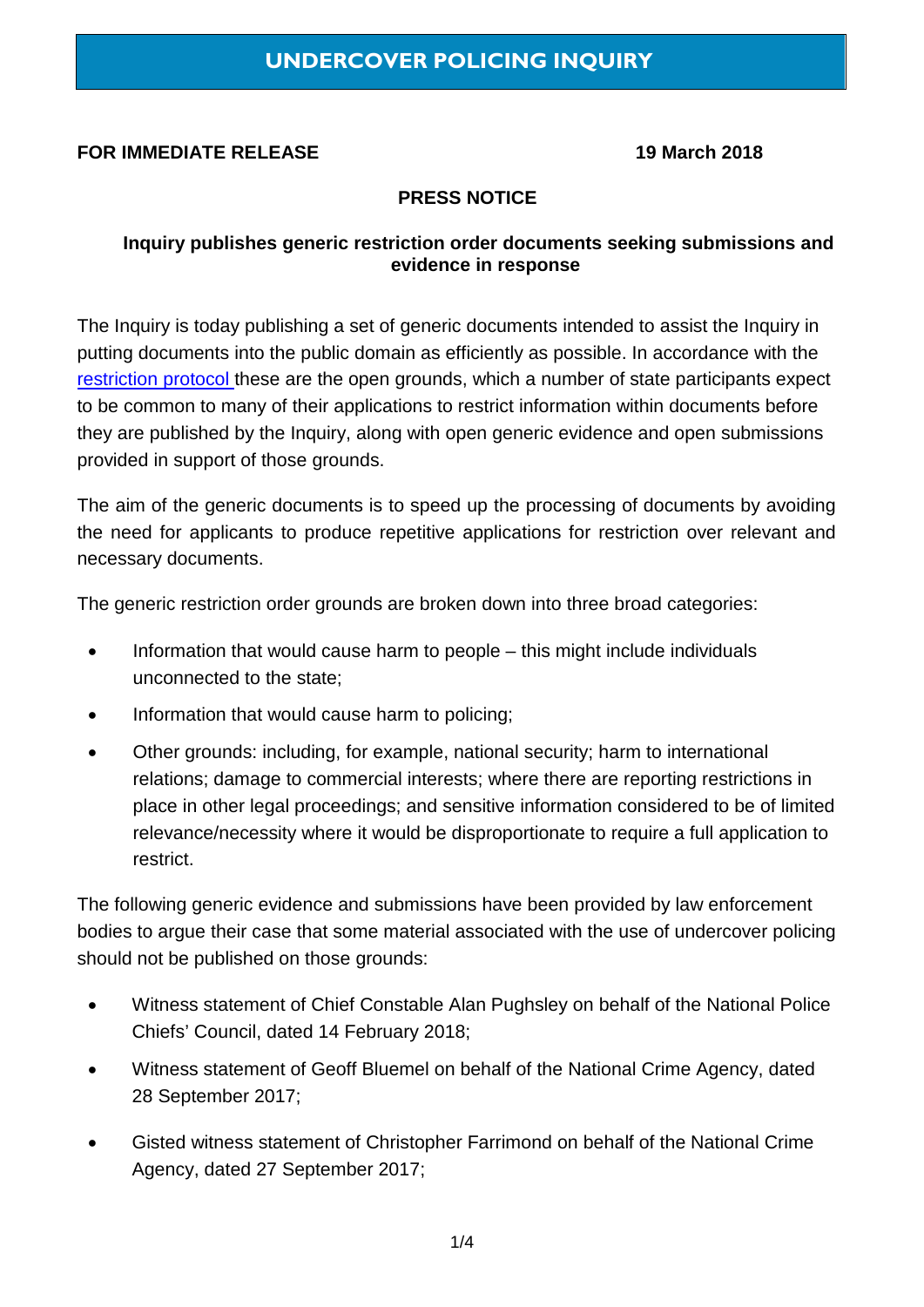### **FOR IMMEDIATE RELEASE 19 March 2018**

### **PRESS NOTICE**

#### **Inquiry publishes generic restriction order documents seeking submissions and evidence in response**

The Inquiry is today publishing a set of generic documents intended to assist the Inquiry in putting documents into the public domain as efficiently as possible. In accordance with the [restriction protocol t](https://www.ucpi.org.uk/wp-content/uploads/2017/05/20170530-restriction-protocol-v1.0.pdf)hese are the open grounds, which a number of state participants expect to be common to many of their applications to restrict information within documents before they are published by the Inquiry, along with open generic evidence and open submissions provided in support of those grounds.

The aim of the generic documents is to speed up the processing of documents by avoiding the need for applicants to produce repetitive applications for restriction over relevant and necessary documents.

The generic restriction order grounds are broken down into three broad categories:

- Information that would cause harm to people this might include individuals unconnected to the state;
- Information that would cause harm to policing;
- Other grounds: including, for example, national security; harm to international relations; damage to commercial interests; where there are reporting restrictions in place in other legal proceedings; and sensitive information considered to be of limited relevance/necessity where it would be disproportionate to require a full application to restrict.

The following generic evidence and submissions have been provided by law enforcement bodies to argue their case that some material associated with the use of undercover policing should not be published on those grounds:

- Witness statement of Chief Constable Alan Pughsley on behalf of the National Police Chiefs' Council, dated 14 February 2018;
- Witness statement of Geoff Bluemel on behalf of the National Crime Agency, dated 28 September 2017;
- Gisted witness statement of Christopher Farrimond on behalf of the National Crime Agency, dated 27 September 2017;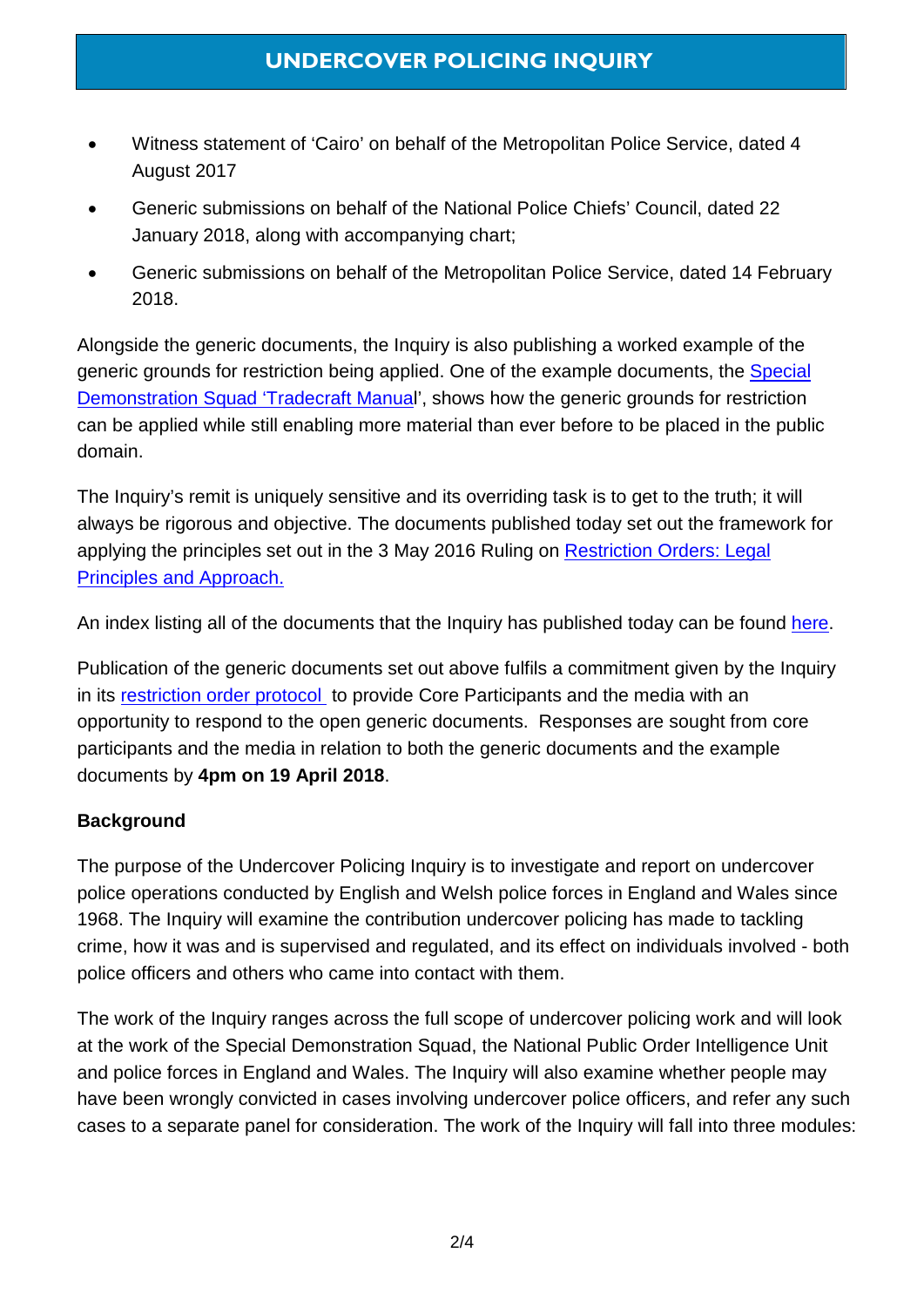- Witness statement of 'Cairo' on behalf of the Metropolitan Police Service, dated 4 August 2017
- Generic submissions on behalf of the National Police Chiefs' Council, dated 22 January 2018, along with accompanying chart;
- Generic submissions on behalf of the Metropolitan Police Service, dated 14 February 2018.

Alongside the generic documents, the Inquiry is also publishing a worked example of the generic grounds for restriction being applied. One of the example documents, the Special [Demonstration Squad 'Tradecraft Manual](https://www.ucpi.org.uk/wp-content/uploads/2018/03/20180319-TC-Documents_Final_Version.pdf)', shows how the generic grounds for restriction can be applied while still enabling more material than ever before to be placed in the public domain.

The Inquiry's remit is uniquely sensitive and its overriding task is to get to the truth; it will always be rigorous and objective. The documents published today set out the framework for applying the principles set out in the 3 May 2016 Ruling on [Restriction Orders:](https://www.ucpi.org.uk/wp-content/uploads/2016/05/160503-ruling-legal-approach-to-restriction-orders.pdf) Legal [Principles and Approach.](https://www.ucpi.org.uk/wp-content/uploads/2016/05/160503-ruling-legal-approach-to-restriction-orders.pdf) 

An index listing all of the documents that the Inquiry has published today can be found [here.](https://www.ucpi.org.uk/wp-content/uploads/2018/03/20180319-list-of-documents-published-on-19-Mar-2018.pdf)

Publication of the generic documents set out above fulfils a commitment given by the Inquiry in its [restriction order protocol](https://www.ucpi.org.uk/wp-content/uploads/2017/05/20170530-restriction-protocol-v1.0.pdf) to provide Core Participants and the media with an opportunity to respond to the open generic documents. Responses are sought from core participants and the media in relation to both the generic documents and the example documents by **4pm on 19 April 2018**.

## **Background**

The purpose of the Undercover Policing Inquiry is to investigate and report on undercover police operations conducted by English and Welsh police forces in England and Wales since 1968. The Inquiry will examine the contribution undercover policing has made to tackling crime, how it was and is supervised and regulated, and its effect on individuals involved - both police officers and others who came into contact with them.

The work of the Inquiry ranges across the full scope of undercover policing work and will look at the work of the Special Demonstration Squad, the National Public Order Intelligence Unit and police forces in England and Wales. The Inquiry will also examine whether people may have been wrongly convicted in cases involving undercover police officers, and refer any such cases to a separate panel for consideration. The work of the Inquiry will fall into three modules: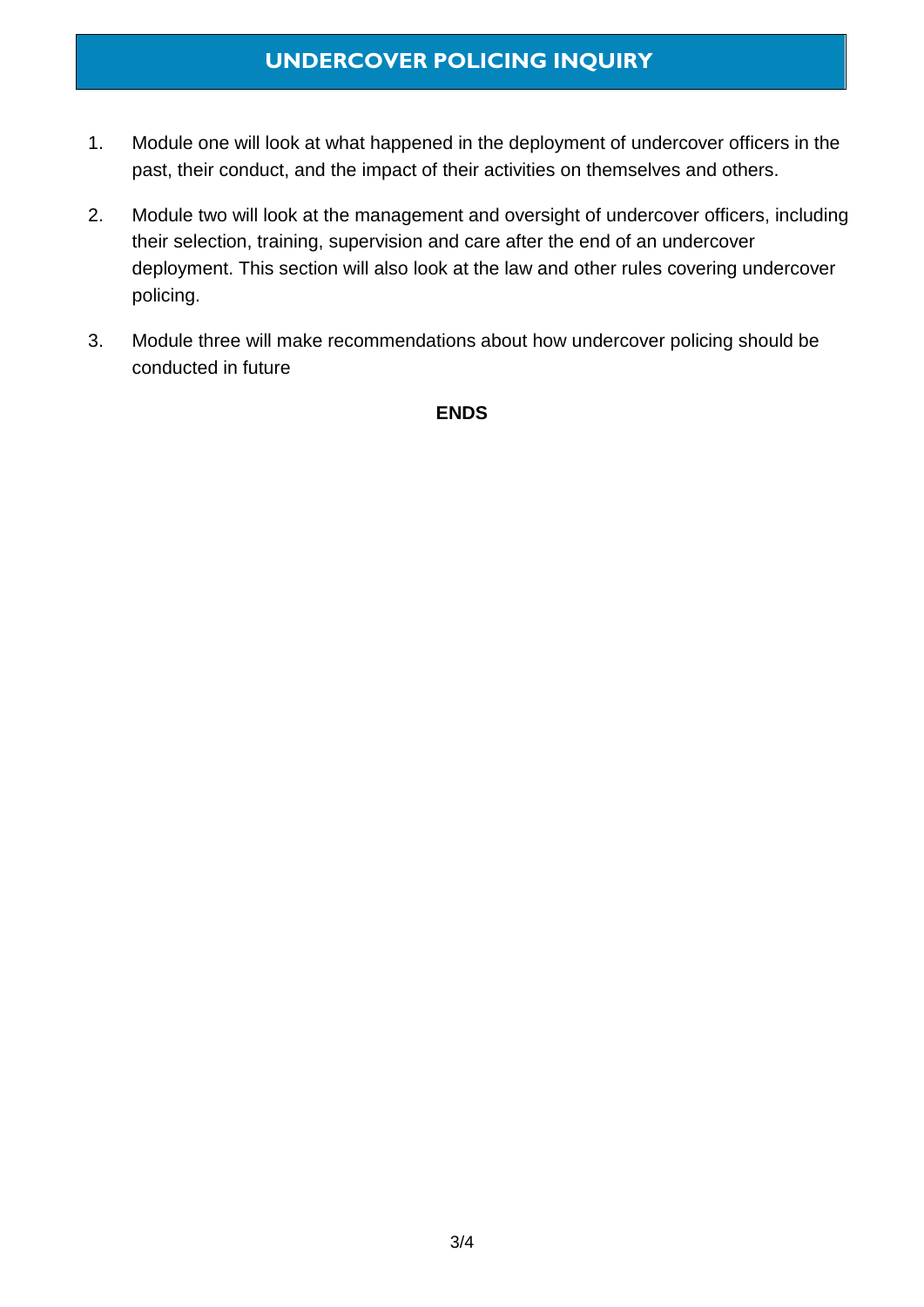# **UNDERCOVER POLICING INQUIRY**

- 1. Module one will look at what happened in the deployment of undercover officers in the past, their conduct, and the impact of their activities on themselves and others.
- 2. Module two will look at the management and oversight of undercover officers, including their selection, training, supervision and care after the end of an undercover deployment. This section will also look at the law and other rules covering undercover policing.
- 3. Module three will make recommendations about how undercover policing should be conducted in future

**ENDS**